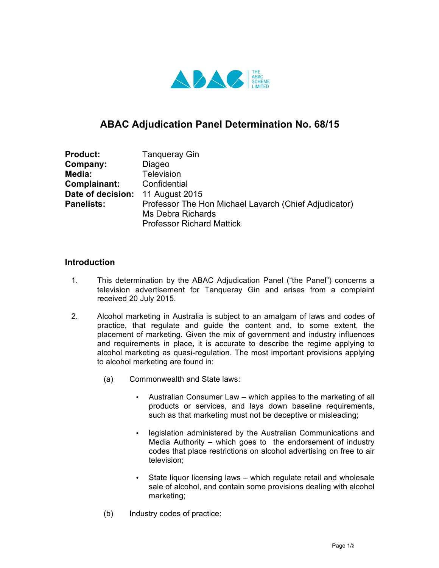

# **ABAC Adjudication Panel Determination No. 68/15**

| <b>Product:</b>   | <b>Tanqueray Gin</b>                                  |
|-------------------|-------------------------------------------------------|
| Company:          | Diageo                                                |
| Media:            | <b>Television</b>                                     |
| Complainant:      | Confidential                                          |
| Date of decision: | 11 August 2015                                        |
| <b>Panelists:</b> | Professor The Hon Michael Lavarch (Chief Adjudicator) |
|                   | Ms Debra Richards                                     |
|                   | <b>Professor Richard Mattick</b>                      |

#### **Introduction**

- 1. This determination by the ABAC Adjudication Panel ("the Panel") concerns a television advertisement for Tanqueray Gin and arises from a complaint received 20 July 2015.
- 2. Alcohol marketing in Australia is subject to an amalgam of laws and codes of practice, that regulate and guide the content and, to some extent, the placement of marketing. Given the mix of government and industry influences and requirements in place, it is accurate to describe the regime applying to alcohol marketing as quasi-regulation. The most important provisions applying to alcohol marketing are found in:
	- (a) Commonwealth and State laws:
		- Australian Consumer Law which applies to the marketing of all products or services, and lays down baseline requirements, such as that marketing must not be deceptive or misleading;
		- legislation administered by the Australian Communications and Media Authority – which goes to the endorsement of industry codes that place restrictions on alcohol advertising on free to air television;
		- State liquor licensing laws which regulate retail and wholesale sale of alcohol, and contain some provisions dealing with alcohol marketing;
	- (b) Industry codes of practice: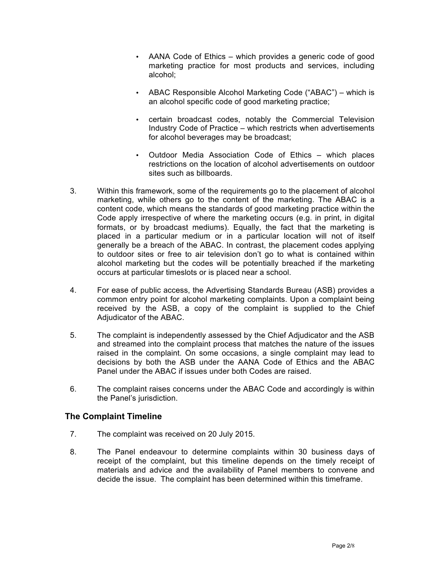- AANA Code of Ethics which provides a generic code of good marketing practice for most products and services, including alcohol;
- ABAC Responsible Alcohol Marketing Code ("ABAC") which is an alcohol specific code of good marketing practice;
- certain broadcast codes, notably the Commercial Television Industry Code of Practice – which restricts when advertisements for alcohol beverages may be broadcast;
- Outdoor Media Association Code of Ethics which places restrictions on the location of alcohol advertisements on outdoor sites such as billboards.
- 3. Within this framework, some of the requirements go to the placement of alcohol marketing, while others go to the content of the marketing. The ABAC is a content code, which means the standards of good marketing practice within the Code apply irrespective of where the marketing occurs (e.g. in print, in digital formats, or by broadcast mediums). Equally, the fact that the marketing is placed in a particular medium or in a particular location will not of itself generally be a breach of the ABAC. In contrast, the placement codes applying to outdoor sites or free to air television don't go to what is contained within alcohol marketing but the codes will be potentially breached if the marketing occurs at particular timeslots or is placed near a school.
- 4. For ease of public access, the Advertising Standards Bureau (ASB) provides a common entry point for alcohol marketing complaints. Upon a complaint being received by the ASB, a copy of the complaint is supplied to the Chief Adjudicator of the ABAC.
- 5. The complaint is independently assessed by the Chief Adjudicator and the ASB and streamed into the complaint process that matches the nature of the issues raised in the complaint. On some occasions, a single complaint may lead to decisions by both the ASB under the AANA Code of Ethics and the ABAC Panel under the ABAC if issues under both Codes are raised.
- 6. The complaint raises concerns under the ABAC Code and accordingly is within the Panel's jurisdiction.

# **The Complaint Timeline**

- 7. The complaint was received on 20 July 2015.
- 8. The Panel endeavour to determine complaints within 30 business days of receipt of the complaint, but this timeline depends on the timely receipt of materials and advice and the availability of Panel members to convene and decide the issue. The complaint has been determined within this timeframe.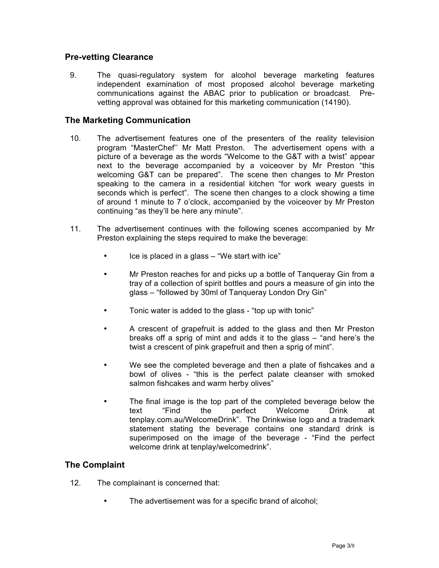# **Pre-vetting Clearance**

9. The quasi-regulatory system for alcohol beverage marketing features independent examination of most proposed alcohol beverage marketing communications against the ABAC prior to publication or broadcast. Prevetting approval was obtained for this marketing communication (14190).

## **The Marketing Communication**

- 10. The advertisement features one of the presenters of the reality television program "MasterChef'' Mr Matt Preston. The advertisement opens with a picture of a beverage as the words "Welcome to the G&T with a twist" appear next to the beverage accompanied by a voiceover by Mr Preston "this welcoming G&T can be prepared". The scene then changes to Mr Preston speaking to the camera in a residential kitchen "for work weary guests in seconds which is perfect". The scene then changes to a clock showing a time of around 1 minute to 7 o'clock, accompanied by the voiceover by Mr Preston continuing "as they'll be here any minute".
- 11. The advertisement continues with the following scenes accompanied by Mr Preston explaining the steps required to make the beverage:
	- Ice is placed in a glass  $-$  "We start with ice"
	- Mr Preston reaches for and picks up a bottle of Tanqueray Gin from a tray of a collection of spirit bottles and pours a measure of gin into the glass – "followed by 30ml of Tanqueray London Dry Gin"
	- Tonic water is added to the glass "top up with tonic"
	- A crescent of grapefruit is added to the glass and then Mr Preston breaks off a sprig of mint and adds it to the glass – "and here's the twist a crescent of pink grapefruit and then a sprig of mint".
	- We see the completed beverage and then a plate of fishcakes and a bowl of olives - "this is the perfect palate cleanser with smoked salmon fishcakes and warm herby olives"
	- The final image is the top part of the completed beverage below the text "Find the perfect Welcome Drink at the perfect Welcome Drink at tenplay.com.au/WelcomeDrink". The Drinkwise logo and a trademark statement stating the beverage contains one standard drink is superimposed on the image of the beverage - "Find the perfect welcome drink at tenplay/welcomedrink".

# **The Complaint**

- 12. The complainant is concerned that:
	- The advertisement was for a specific brand of alcohol;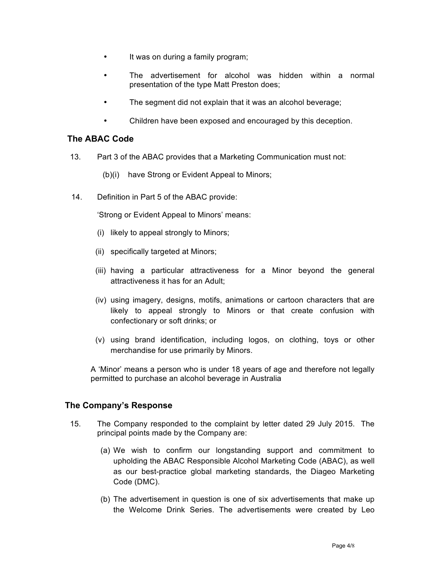- It was on during a family program;
- The advertisement for alcohol was hidden within a normal presentation of the type Matt Preston does;
- The segment did not explain that it was an alcohol beverage;
- Children have been exposed and encouraged by this deception.

### **The ABAC Code**

13. Part 3 of the ABAC provides that a Marketing Communication must not:

(b)(i) have Strong or Evident Appeal to Minors;

14. Definition in Part 5 of the ABAC provide:

'Strong or Evident Appeal to Minors' means:

- (i) likely to appeal strongly to Minors;
- (ii) specifically targeted at Minors;
- (iii) having a particular attractiveness for a Minor beyond the general attractiveness it has for an Adult;
- (iv) using imagery, designs, motifs, animations or cartoon characters that are likely to appeal strongly to Minors or that create confusion with confectionary or soft drinks; or
- (v) using brand identification, including logos, on clothing, toys or other merchandise for use primarily by Minors.

A 'Minor' means a person who is under 18 years of age and therefore not legally permitted to purchase an alcohol beverage in Australia

#### **The Company's Response**

- 15. The Company responded to the complaint by letter dated 29 July 2015. The principal points made by the Company are:
	- (a) We wish to confirm our longstanding support and commitment to upholding the ABAC Responsible Alcohol Marketing Code (ABAC), as well as our best-practice global marketing standards, the Diageo Marketing Code (DMC).
	- (b) The advertisement in question is one of six advertisements that make up the Welcome Drink Series. The advertisements were created by Leo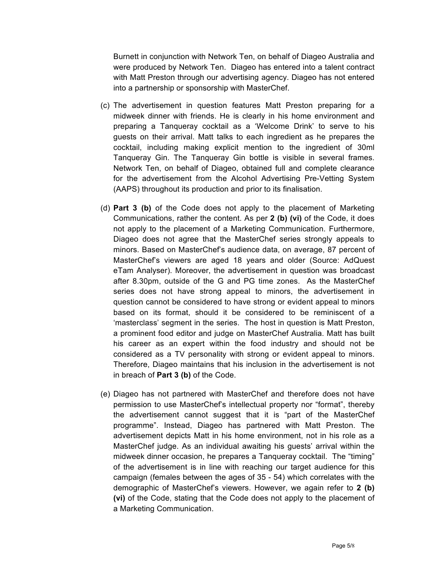Burnett in conjunction with Network Ten, on behalf of Diageo Australia and were produced by Network Ten. Diageo has entered into a talent contract with Matt Preston through our advertising agency. Diageo has not entered into a partnership or sponsorship with MasterChef.

- (c) The advertisement in question features Matt Preston preparing for a midweek dinner with friends. He is clearly in his home environment and preparing a Tanqueray cocktail as a 'Welcome Drink' to serve to his guests on their arrival. Matt talks to each ingredient as he prepares the cocktail, including making explicit mention to the ingredient of 30ml Tanqueray Gin. The Tanqueray Gin bottle is visible in several frames. Network Ten, on behalf of Diageo, obtained full and complete clearance for the advertisement from the Alcohol Advertising Pre-Vetting System (AAPS) throughout its production and prior to its finalisation.
- (d) **Part 3 (b)** of the Code does not apply to the placement of Marketing Communications, rather the content. As per **2 (b) (vi)** of the Code, it does not apply to the placement of a Marketing Communication. Furthermore, Diageo does not agree that the MasterChef series strongly appeals to minors. Based on MasterChef's audience data, on average, 87 percent of MasterChef's viewers are aged 18 years and older (Source: AdQuest eTam Analyser). Moreover, the advertisement in question was broadcast after 8.30pm, outside of the G and PG time zones. As the MasterChef series does not have strong appeal to minors, the advertisement in question cannot be considered to have strong or evident appeal to minors based on its format, should it be considered to be reminiscent of a 'masterclass' segment in the series. The host in question is Matt Preston, a prominent food editor and judge on MasterChef Australia. Matt has built his career as an expert within the food industry and should not be considered as a TV personality with strong or evident appeal to minors. Therefore, Diageo maintains that his inclusion in the advertisement is not in breach of **Part 3 (b)** of the Code.
- (e) Diageo has not partnered with MasterChef and therefore does not have permission to use MasterChef's intellectual property nor "format", thereby the advertisement cannot suggest that it is "part of the MasterChef programme". Instead, Diageo has partnered with Matt Preston. The advertisement depicts Matt in his home environment, not in his role as a MasterChef judge. As an individual awaiting his guests' arrival within the midweek dinner occasion, he prepares a Tanqueray cocktail. The "timing" of the advertisement is in line with reaching our target audience for this campaign (females between the ages of 35 - 54) which correlates with the demographic of MasterChef's viewers. However, we again refer to **2 (b) (vi)** of the Code, stating that the Code does not apply to the placement of a Marketing Communication.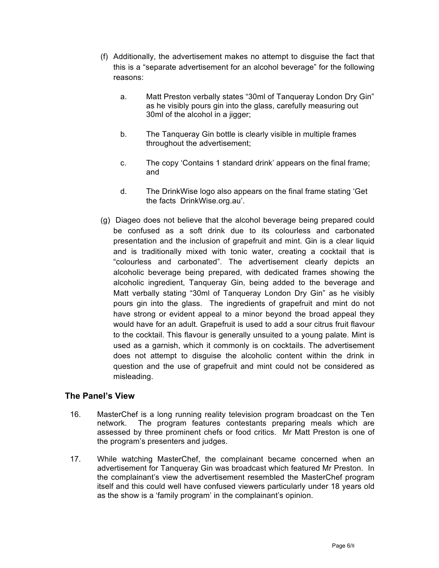- (f) Additionally, the advertisement makes no attempt to disguise the fact that this is a "separate advertisement for an alcohol beverage" for the following reasons:
	- a. Matt Preston verbally states "30ml of Tanqueray London Dry Gin" as he visibly pours gin into the glass, carefully measuring out 30ml of the alcohol in a jigger;
	- b. The Tanqueray Gin bottle is clearly visible in multiple frames throughout the advertisement;
	- c. The copy 'Contains 1 standard drink' appears on the final frame; and
	- d. The DrinkWise logo also appears on the final frame stating 'Get the facts DrinkWise.org.au'.
- (g) Diageo does not believe that the alcohol beverage being prepared could be confused as a soft drink due to its colourless and carbonated presentation and the inclusion of grapefruit and mint. Gin is a clear liquid and is traditionally mixed with tonic water, creating a cocktail that is "colourless and carbonated". The advertisement clearly depicts an alcoholic beverage being prepared, with dedicated frames showing the alcoholic ingredient, Tanqueray Gin, being added to the beverage and Matt verbally stating "30ml of Tanqueray London Dry Gin" as he visibly pours gin into the glass. The ingredients of grapefruit and mint do not have strong or evident appeal to a minor beyond the broad appeal they would have for an adult. Grapefruit is used to add a sour citrus fruit flavour to the cocktail. This flavour is generally unsuited to a young palate. Mint is used as a garnish, which it commonly is on cocktails. The advertisement does not attempt to disguise the alcoholic content within the drink in question and the use of grapefruit and mint could not be considered as misleading.

# **The Panel's View**

- 16. MasterChef is a long running reality television program broadcast on the Ten network. The program features contestants preparing meals which are assessed by three prominent chefs or food critics. Mr Matt Preston is one of the program's presenters and judges.
- 17. While watching MasterChef, the complainant became concerned when an advertisement for Tanqueray Gin was broadcast which featured Mr Preston. In the complainant's view the advertisement resembled the MasterChef program itself and this could well have confused viewers particularly under 18 years old as the show is a 'family program' in the complainant's opinion.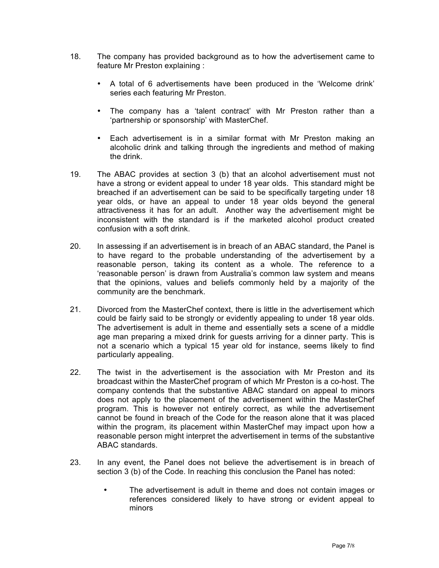- 18. The company has provided background as to how the advertisement came to feature Mr Preston explaining :
	- A total of 6 advertisements have been produced in the 'Welcome drink' series each featuring Mr Preston.
	- The company has a 'talent contract' with Mr Preston rather than a 'partnership or sponsorship' with MasterChef.
	- Each advertisement is in a similar format with Mr Preston making an alcoholic drink and talking through the ingredients and method of making the drink.
- 19. The ABAC provides at section 3 (b) that an alcohol advertisement must not have a strong or evident appeal to under 18 year olds. This standard might be breached if an advertisement can be said to be specifically targeting under 18 year olds, or have an appeal to under 18 year olds beyond the general attractiveness it has for an adult. Another way the advertisement might be inconsistent with the standard is if the marketed alcohol product created confusion with a soft drink.
- 20. In assessing if an advertisement is in breach of an ABAC standard, the Panel is to have regard to the probable understanding of the advertisement by a reasonable person, taking its content as a whole. The reference to a 'reasonable person' is drawn from Australia's common law system and means that the opinions, values and beliefs commonly held by a majority of the community are the benchmark.
- 21. Divorced from the MasterChef context, there is little in the advertisement which could be fairly said to be strongly or evidently appealing to under 18 year olds. The advertisement is adult in theme and essentially sets a scene of a middle age man preparing a mixed drink for guests arriving for a dinner party. This is not a scenario which a typical 15 year old for instance, seems likely to find particularly appealing.
- 22. The twist in the advertisement is the association with Mr Preston and its broadcast within the MasterChef program of which Mr Preston is a co-host. The company contends that the substantive ABAC standard on appeal to minors does not apply to the placement of the advertisement within the MasterChef program. This is however not entirely correct, as while the advertisement cannot be found in breach of the Code for the reason alone that it was placed within the program, its placement within MasterChef may impact upon how a reasonable person might interpret the advertisement in terms of the substantive ABAC standards.
- 23. In any event, the Panel does not believe the advertisement is in breach of section 3 (b) of the Code. In reaching this conclusion the Panel has noted:
	- The advertisement is adult in theme and does not contain images or references considered likely to have strong or evident appeal to minors